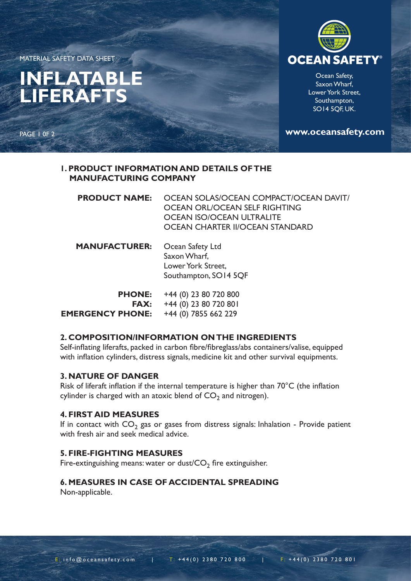MATERIAL SAFETY DATA SHEET

# **INFLATABLE LIFERAFTS**





Ocean Safety, Saxon Wharf, Lower York Street, Southampton, SO14 5QF, UK.

**www.oceansafety.com**

## **1. PRODUCT INFORMATION AND DETAILS OF THE MANUFACTURING COMPANY**

| <b>PRODUCT NAME:</b> | OCEAN SOLAS/OCEAN COMPACT/OCEAN DAVIT/<br>OCEAN ORL/OCEAN SELF RIGHTING<br>OCEAN ISO/OCEAN ULTRALITE<br>OCEAN CHARTER II/OCEAN STANDARD |
|----------------------|-----------------------------------------------------------------------------------------------------------------------------------------|
| <b>MANUFACTURER:</b> | Ocean Safety Ltd<br>Saxon Wharf,<br>Lower York Street,<br>Southampton, SO14 5QF                                                         |
|                      | <b>PHONE:</b> $+44(0)$ 23 80 720 800                                                                                                    |

| <b>PHONE:</b>           | +44 (0) 23 80 720 800   |
|-------------------------|-------------------------|
| FAX:                    | $+44$ (0) 23 80 720 801 |
| <b>EMERGENCY PHONE:</b> | $+44$ (0) 7855 662 229  |

# **2. COMPOSITION/INFORMATION ON THE INGREDIENTS**

Self-inflating liferafts, packed in carbon fibre/fibreglass/abs containers/valise, equipped with inflation cylinders, distress signals, medicine kit and other survival equipments.

#### **3. NATURE OF DANGER**

Risk of liferaft inflation if the internal temperature is higher than 70°C (the inflation cylinder is charged with an atoxic blend of  $CO<sub>2</sub>$  and nitrogen).

## **4. FIRST AID MEASURES**

If in contact with  $CO<sub>2</sub>$  gas or gases from distress signals: Inhalation - Provide patient with fresh air and seek medical advice.

# **5. FIRE-FIGHTING MEASURES**

Fire-extinguishing means: water or dust/ $CO<sub>2</sub>$  fire extinguisher.

# **6. MEASURES IN CASE OF ACCIDENTAL SPREADING**

Non-applicable.